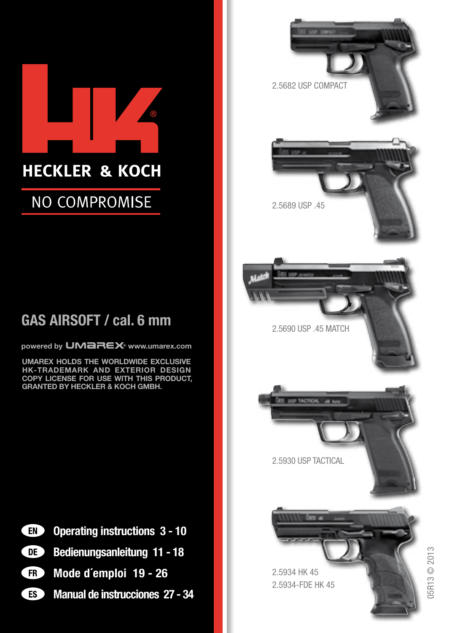

#### NO COMPROMISE

#### GAS AIRSOFT / cal. 6 mm

powered by **UMBREX** www.umarex.com

UMAREX HOLDS THE WORLDWIDE EXCLUSIVE HK-TRADEMARK AND EXTERIOR DESIGN COPY LICENSE FOR USE WITH THIS PRODUCT, GRANTED BY HECKLER & KOCH GMBH.



- Operating instructions 3 10
- Œ Bedienungsanleitung 11 - 18
- Ð Mode d´emploi 19 - 26
- **ES** Manual de instrucciones 27 - 34



5R13 © 2013 05R13 © 2013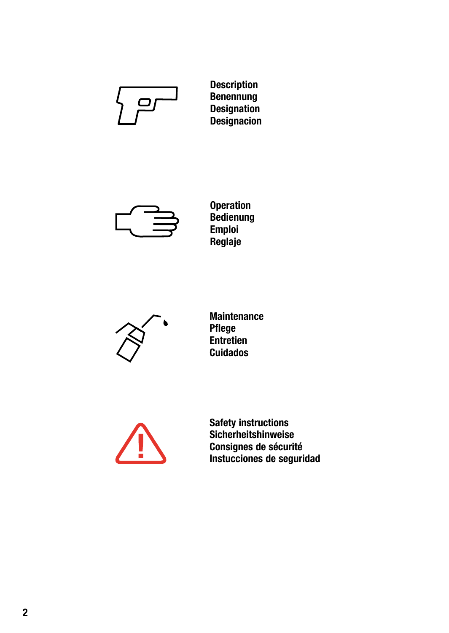

Description Benennung Designation **Designacion** 



Operation Bedienung Emploi Reglaje



Maintenance Pflege Entretien Cuidados



Safety instructions Sicherheitshinweise Consignes de sécurité Instucciones de seguridad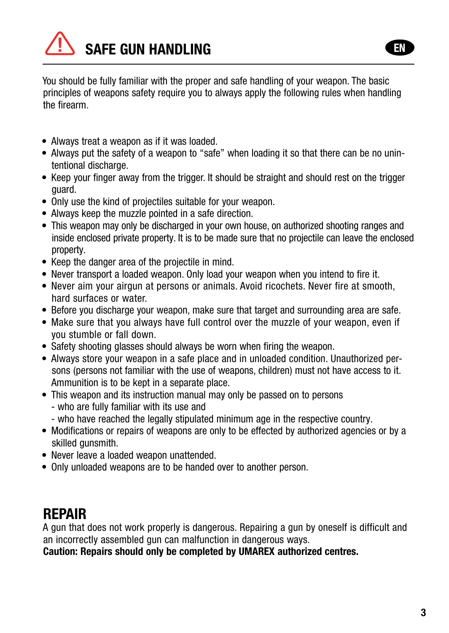

You should be fully familiar with the proper and safe handling of your weapon. The basic principles of weapons safety require you to always apply the following rules when handling the firearm.

- Always treat a weapon as if it was loaded.
- Always put the safety of a weapon to "safe" when loading it so that there can be no unintentional discharge.
- Keep your finger away from the trigger. It should be straight and should rest on the trigger guard.
- Only use the kind of projectiles suitable for your weapon.
- Always keep the muzzle pointed in a safe direction.
- This weapon may only be discharged in your own house, on authorized shooting ranges and inside enclosed private property. It is to be made sure that no projectile can leave the enclosed property.
- Keep the danger area of the projectile in mind.
- Never transport a loaded weapon. Only load your weapon when you intend to fire it.
- Never aim your airgun at persons or animals. Avoid ricochets. Never fire at smooth, hard surfaces or water.
- Before you discharge your weapon, make sure that target and surrounding area are safe.
- Make sure that you always have full control over the muzzle of your weapon, even if you stumble or fall down.
- Safety shooting glasses should always be worn when firing the weapon.
- Always store your weapon in a safe place and in unloaded condition. Unauthorized persons (persons not familiar with the use of weapons, children) must not have access to it. Ammunition is to be kept in a separate place.
- This weapon and its instruction manual may only be passed on to persons
	- who are fully familiar with its use and
	- who have reached the legally stipulated minimum age in the respective country.
- Modifications or repairs of weapons are only to be effected by authorized agencies or by a skilled gunsmith.
- Never leave a loaded weapon unattended.
- Only unloaded weapons are to be handed over to another person.

#### REPAIR

A gun that does not work properly is dangerous. Repairing a gun by oneself is difficult and an incorrectly assembled gun can malfunction in dangerous ways.

Caution: Repairs should only be completed by UMAREX authorized centres.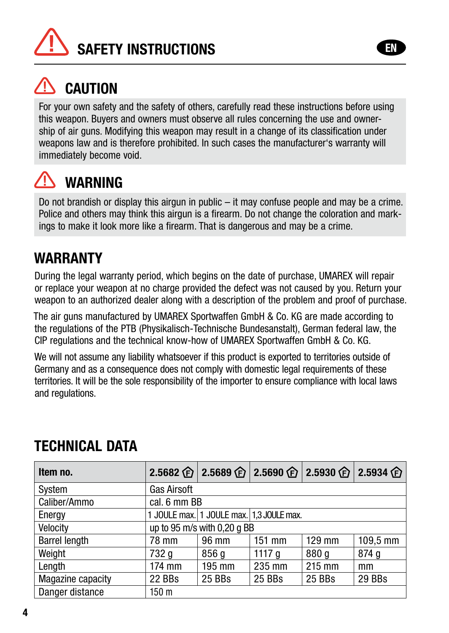



For your own safety and the safety of others, carefully read these instructions before using this weapon. Buyers and owners must observe all rules concerning the use and ownership of air guns. Modifying this weapon may result in a change of its classification under weapons law and is therefore prohibited. In such cases the manufacturer's warranty will immediately become void.

#### **WARNING**

Do not brandish or display this airgun in public – it may confuse people and may be a crime. Police and others may think this airgun is a firearm. Do not change the coloration and markings to make it look more like a firearm. That is dangerous and may be a crime.

#### **WARRANTY**

During the legal warranty period, which begins on the date of purchase, UMAREX will repair or replace your weapon at no charge provided the defect was not caused by you. Return your weapon to an authorized dealer along with a description of the problem and proof of purchase.

The air guns manufactured by UMAREX Sportwaffen GmbH & Co. KG are made according to the regulations of the PTB (Physikalisch-Technische Bundesanstalt), German federal law, the CIP regulations and the technical know-how of UMAREX Sportwaffen GmbH & Co. KG.

We will not assume any liability whatsoever if this product is exported to territories outside of Germany and as a consequence does not comply with domestic legal requirements of these territories. It will be the sole responsibility of the importer to ensure compliance with local laws and regulations.

| Item no.             |                                          |        |          |        | 2.5682 企 2.5689 企 2.5690 企 2.5930 企 2.5934 企 |
|----------------------|------------------------------------------|--------|----------|--------|----------------------------------------------|
| System               | <b>Gas Airsoft</b>                       |        |          |        |                                              |
| Caliber/Ammo         | cal. 6 mm BB                             |        |          |        |                                              |
| Energy               | 1 JOULE max. 1 JOULE max. 1,3 JOULE max. |        |          |        |                                              |
| Velocity             | up to 95 m/s with 0,20 g BB              |        |          |        |                                              |
| <b>Barrel length</b> | 78 mm                                    | 96 mm  | $151$ mm | 129 mm | $109.5 \, \text{mm}$                         |
| Weight               | 732 g                                    | 856 g  | 1117 g   | 880 g  | 874q                                         |
| Length               | 174 mm                                   | 195 mm | 235 mm   | 215 mm | mm                                           |
| Magazine capacity    | 22 BBs                                   | 25 BBs | 25 BBs   | 25 BBs | 29 BBs                                       |
| Danger distance      | 150 m                                    |        |          |        |                                              |

#### TECHNICAL DATA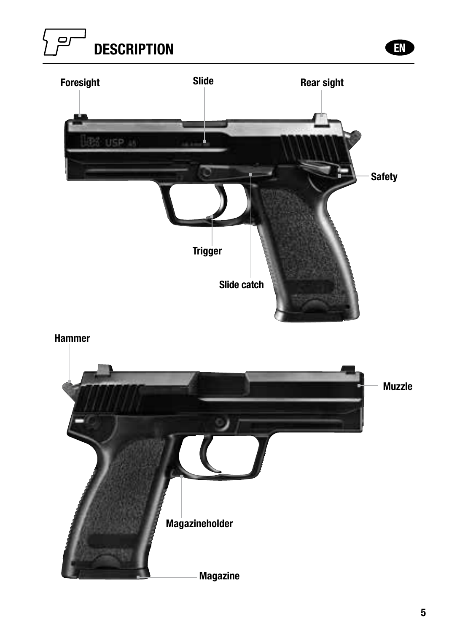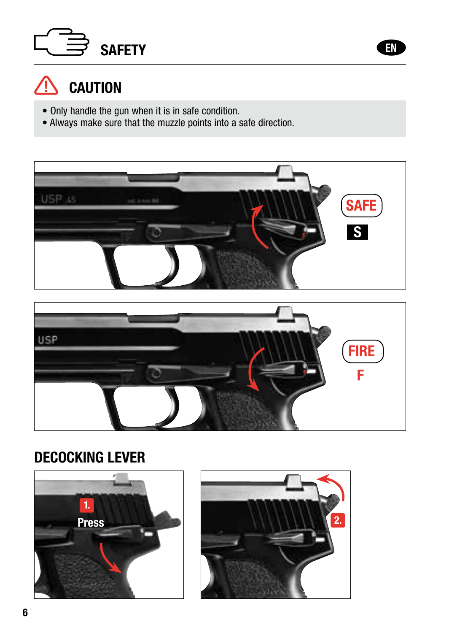



#### $\hat{C}$  caution

- Only handle the gun when it is in safe condition.
- Always make sure that the muzzle points into a safe direction.



EN



#### DECOCKING LEVER





6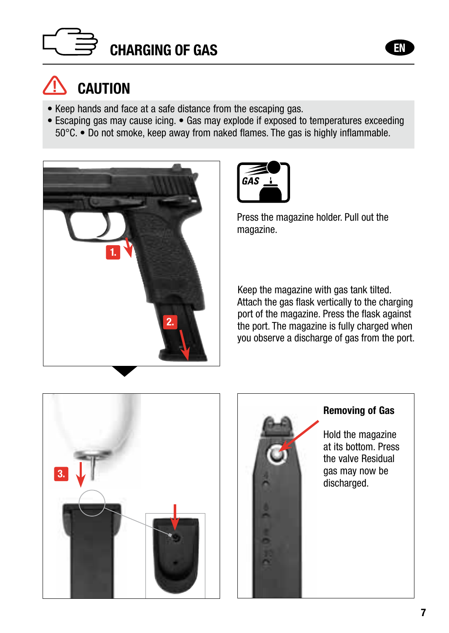



- Keep hands and face at a safe distance from the escaping gas.
- Escaping gas may cause icing. Gas may explode if exposed to temperatures exceeding 50°C. • Do not smoke, keep away from naked flames. The gas is highly inflammable.





Press the magazine holder. Pull out the magazine.

Keep the magazine with gas tank tilted. Attach the gas flask vertically to the charging port of the magazine. Press the flask against the port. The magazine is fully charged when you observe a discharge of gas from the port.





#### Removing of Gas

Hold the magazine at its bottom. Press the valve Residual gas may now be discharged.

EN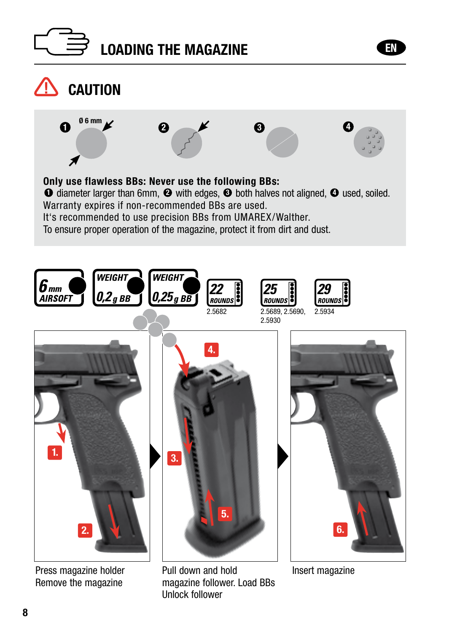





Press magazine holder Remove the magazine

Pull down and hold magazine follower. Load BBs Unlock follower

Insert magazine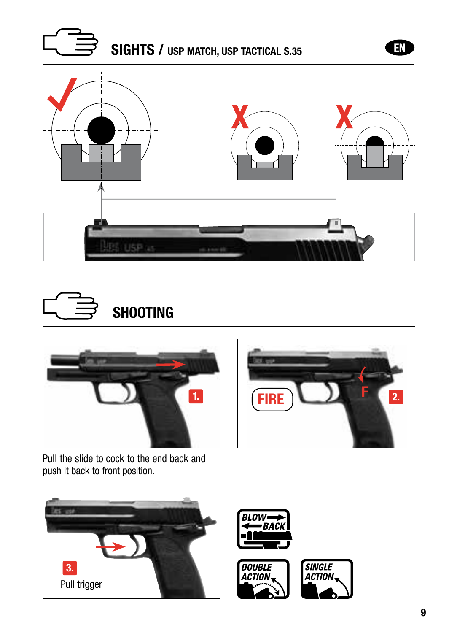







Pull the slide to cock to the end back and push it back to front position.













EN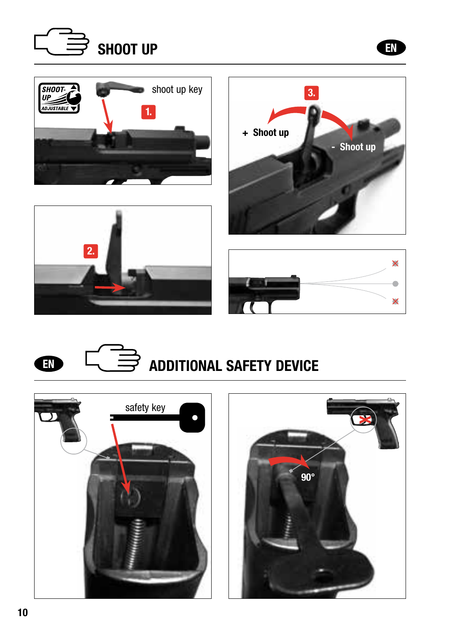







EN







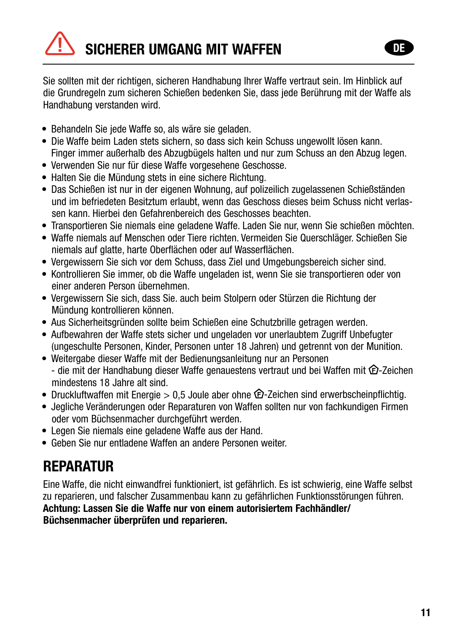Sie sollten mit der richtigen, sicheren Handhabung Ihrer Waffe vertraut sein. Im Hinblick auf die Grundregeln zum sicheren Schießen bedenken Sie, dass jede Berührung mit der Waffe als Handhabung verstanden wird.

- Behandeln Sie jede Waffe so, als wäre sie geladen.
- Die Waffe beim Laden stets sichern, so dass sich kein Schuss ungewollt lösen kann. Finger immer außerhalb des Abzugbügels halten und nur zum Schuss an den Abzug legen.
- Verwenden Sie nur für diese Waffe vorgesehene Geschosse.
- Halten Sie die Mündung stets in eine sichere Richtung.
- Das Schießen ist nur in der eigenen Wohnung, auf polizeilich zugelassenen Schießständen und im befriedeten Besitztum erlaubt, wenn das Geschoss dieses beim Schuss nicht verlassen kann. Hierbei den Gefahrenbereich des Geschosses beachten.
- Transportieren Sie niemals eine geladene Waffe. Laden Sie nur, wenn Sie schießen möchten.
- Waffe niemals auf Menschen oder Tiere richten. Vermeiden Sie Querschläger. Schießen Sie niemals auf glatte, harte Oberflächen oder auf Wasserflächen.
- Vergewissern Sie sich vor dem Schuss, dass Ziel und Umgebungsbereich sicher sind.
- Kontrollieren Sie immer, ob die Waffe ungeladen ist, wenn Sie sie transportieren oder von einer anderen Person übernehmen.
- Vergewissern Sie sich, dass Sie. auch beim Stolpern oder Stürzen die Richtung der Mündung kontrollieren können.
- Aus Sicherheitsgründen sollte beim Schießen eine Schutzbrille getragen werden.
- Aufbewahren der Waffe stets sicher und ungeladen vor unerlaubtem Zugriff Unbefugter (ungeschulte Personen, Kinder, Personen unter 18 Jahren) und getrennt von der Munition.
- Weitergabe dieser Waffe mit der Bedienungsanleitung nur an Personen - die mit der Handhabung dieser Waffe genauestens vertraut und bei Waffen mit  $\bigoplus$ -Zeichen mindestens 18 Jahre alt sind.
- Druckluftwaffen mit Energie  $> 0.5$  Joule aber ohne  $\hat{\mathfrak{D}}$ -Zeichen sind erwerbscheinpflichtig.
- Jegliche Veränderungen oder Reparaturen von Waffen sollten nur von fachkundigen Firmen oder vom Büchsenmacher durchgeführt werden.
- Legen Sie niemals eine geladene Waffe aus der Hand.
- Geben Sie nur entladene Waffen an andere Personen weiter.

#### **REPARATUR**

Eine Waffe, die nicht einwandfrei funktioniert, ist gefährlich. Es ist schwierig, eine Waffe selbst zu reparieren, und falscher Zusammenbau kann zu gefährlichen Funktionsstörungen führen. Achtung: Lassen Sie die Waffe nur von einem autorisiertem Fachhändler/ Büchsenmacher überprüfen und reparieren.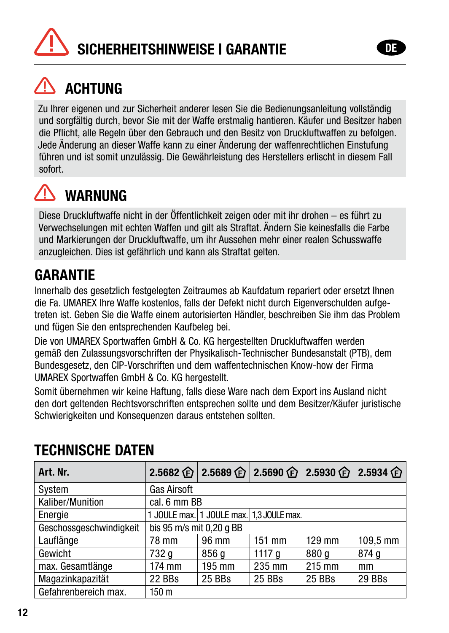

### **ACHTUNG**

Zu Ihrer eigenen und zur Sicherheit anderer lesen Sie die Bedienungsanleitung vollständig und sorgfältig durch, bevor Sie mit der Waffe erstmalig hantieren. Käufer und Besitzer haben die Pflicht, alle Regeln über den Gebrauch und den Besitz von Druckluftwaffen zu befolgen. Jede Änderung an dieser Waffe kann zu einer Änderung der waffenrechtlichen Einstufung führen und ist somit unzulässig. Die Gewährleistung des Herstellers erlischt in diesem Fall sofort.



#### **WARNIING**

Diese Druckluftwaffe nicht in der Öffentlichkeit zeigen oder mit ihr drohen – es führt zu Verwechselungen mit echten Waffen und gilt als Straftat. Ändern Sie keinesfalls die Farbe und Markierungen der Druckluftwaffe, um ihr Aussehen mehr einer realen Schusswaffe anzugleichen. Dies ist gefährlich und kann als Straftat gelten.

#### **GARANTIF**

Innerhalb des gesetzlich festgelegten Zeitraumes ab Kaufdatum repariert oder ersetzt Ihnen die Fa. UMAREX Ihre Waffe kostenlos, falls der Defekt nicht durch Eigenverschulden aufgetreten ist. Geben Sie die Waffe einem autorisierten Händler, beschreiben Sie ihm das Problem und fügen Sie den entsprechenden Kaufbeleg bei.

Die von UMAREX Sportwaffen GmbH & Co. KG hergestellten Druckluftwaffen werden gemäß den Zulassungsvorschriften der Physikalisch-Technischer Bundesanstalt (PTB), dem Bundesgesetz, den CIP-Vorschriften und dem waffentechnischen Know-how der Firma UMAREX Sportwaffen GmbH & Co. KG hergestellt.

Somit übernehmen wir keine Haftung, falls diese Ware nach dem Export ins Ausland nicht den dort geltenden Rechtsvorschriften entsprechen sollte und dem Besitzer/Käufer juristische Schwierigkeiten und Konsequenzen daraus entstehen sollten.

| Art. Nr.                |                          | 2.5682 企 2.5689 企 2.5690 企 2.5930 企 2.5934 企 |          |        |          |
|-------------------------|--------------------------|----------------------------------------------|----------|--------|----------|
| System                  | <b>Gas Airsoft</b>       |                                              |          |        |          |
| Kaliber/Munition        | cal. 6 mm BB             |                                              |          |        |          |
| Energie                 |                          | 1 JOULE max. 1 JOULE max. 1,3 JOULE max.     |          |        |          |
| Geschossgeschwindigkeit | bis 95 m/s mit 0,20 g BB |                                              |          |        |          |
| Lauflänge               | 78 mm                    | 96 mm                                        | $151$ mm | 129 mm | 109.5 mm |
| Gewicht                 | 732 g                    | 856 a                                        | 1117 a   | 880 a  | 874 g    |
| max. Gesamtlänge        | 174 mm                   | 195 mm                                       | 235 mm   | 215 mm | mm       |
| Magazinkapazität        | 22 BBs                   | 25 BBs                                       | 25 BBs   | 25 BBs | 29 BBs   |
| Gefahrenbereich max.    | 150 m                    |                                              |          |        |          |

#### TECHNISCHE DATEN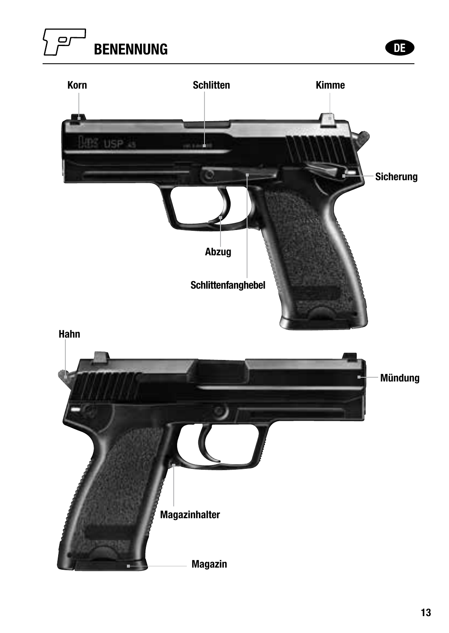#### $\Box$ BENENNUNG DE

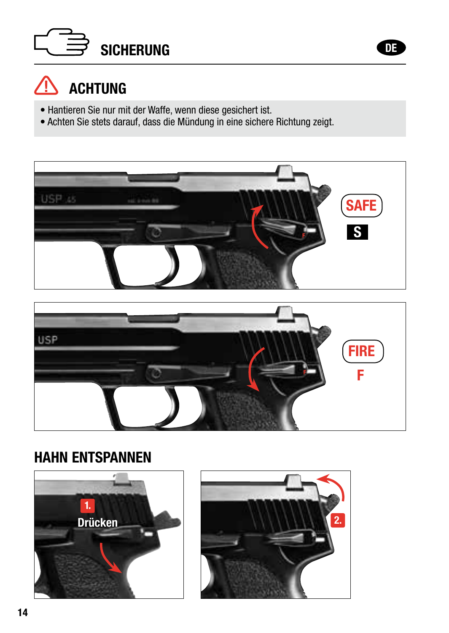



- Hantieren Sie nur mit der Waffe, wenn diese gesichert ist.
- Achten Sie stets darauf, dass die Mündung in eine sichere Richtung zeigt.





#### HAHN ENTSPANNEN



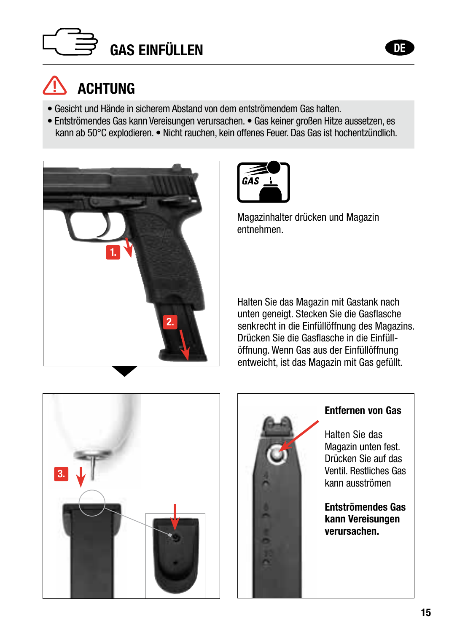



- Gesicht und Hände in sicherem Abstand von dem entströmendem Gas halten.
- Entströmendes Gas kann Vereisungen verursachen. Gas keiner großen Hitze aussetzen, es kann ab 50°C explodieren. • Nicht rauchen, kein offenes Feuer. Das Gas ist hochentzündlich.





Magazinhalter drücken und Magazin entnehmen.

Halten Sie das Magazin mit Gastank nach unten geneigt. Stecken Sie die Gasflasche senkrecht in die Einfüllöffnung des Magazins. Drücken Sie die Gasflasche in die Einfüllöffnung. Wenn Gas aus der Einfüllöffnung entweicht, ist das Magazin mit Gas gefüllt.



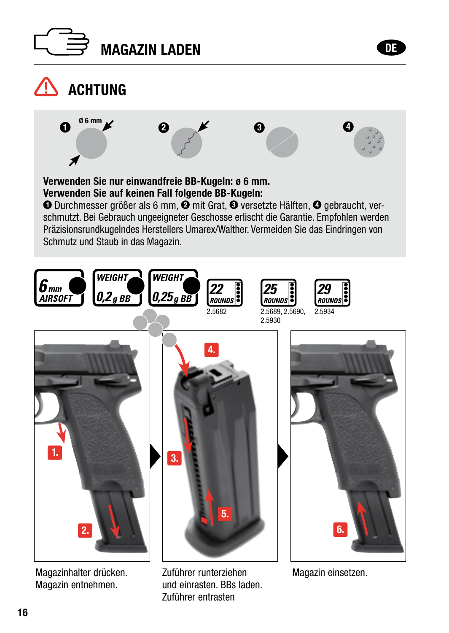



#### **ACHTUNG**  $\Omega$  <sup>06 mm</sup> 2 X & C Verwenden Sie nur einwandfreie BB-Kugeln: ø 6 mm. Verwenden Sie auf keinen Fall folgende BB-Kugeln: O Durchmesser größer als 6 mm,  $\ddot{\mathbf{Q}}$  mit Grat,  $\mathbf{\Theta}$  versetzte Hälften,  $\mathbf{\Theta}$  gebraucht, verschmutzt. Bei Gebrauch ungeeigneter Geschosse erlischt die Garantie. Empfohlen werden Präzisionsrundkugelndes Herstellers Umarex/Walther. Vermeiden Sie das Eindringen von Schmutz und Staub in das Magazin. WEIGHT WEIGHT 6տա  $2g$  *BB*  $\left| 0.25g$  *BB*  $\left| \right|$  *z***<sub>ROUNDS</sub>**  $\left| \right|$  *z***<sub>ROUNDS</sub>**  $\left| \right|$  *z***<sub>ROUND</sub> AIRSOFT** 2.5682 2.5689, 2.5690, 2.5934 2.59304. 1. 3. 5.  $\overline{2}$ 6.

Magazinhalter drücken. Magazin entnehmen.

Zuführer runterziehen und einrasten. BBs laden. Zuführer entrasten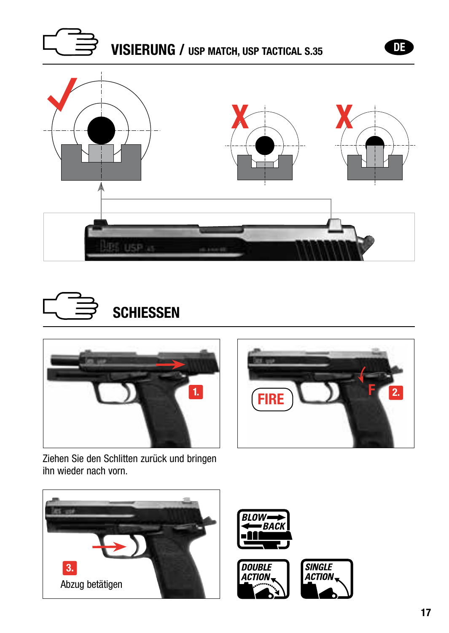







Ziehen Sie den Schlitten zurück und bringen ihn wieder nach vorn.











DE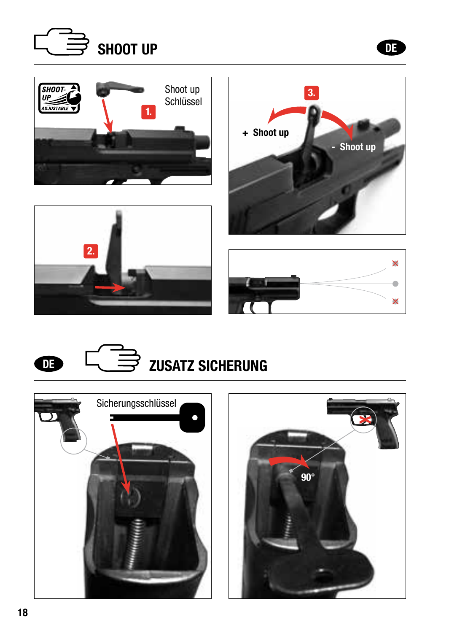



 $\mathbf \Phi$ 









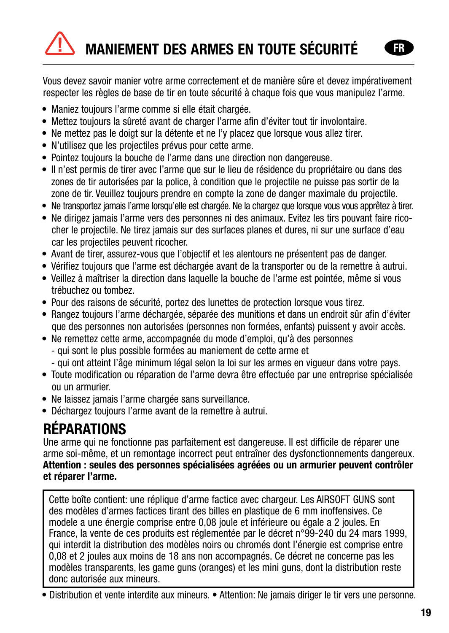# MANIEMENT DES ARMES EN TOUTE SÉCURITÉ

Vous devez savoir manier votre arme correctement et de manière sûre et devez impérativement respecter les règles de base de tir en toute sécurité à chaque fois que vous manipulez l'arme.

- Maniez toujours l'arme comme si elle était chargée.
- Mettez toujours la sûreté avant de charger l'arme afin d'éviter tout tir involontaire.
- Ne mettez pas le doigt sur la détente et ne l'y placez que lorsque vous allez tirer.
- N'utilisez que les projectiles prévus pour cette arme.
- Pointez toujours la bouche de l'arme dans une direction non dangereuse.
- Il n'est permis de tirer avec l'arme que sur le lieu de résidence du propriétaire ou dans des zones de tir autorisées par la police, à condition que le projectile ne puisse pas sortir de la zone de tir. Veuillez toujours prendre en compte la zone de danger maximale du projectile.
- Ne transportez jamais l'arme lorsqu'elle est chargée. Ne la chargez que lorsque vous vous apprêtez à tirer.
- Ne dirigez jamais l'arme vers des personnes ni des animaux. Evitez les tirs pouvant faire ricocher le projectile. Ne tirez jamais sur des surfaces planes et dures, ni sur une surface d'eau car les projectiles peuvent ricocher.
- Avant de tirer, assurez-vous que l'objectif et les alentours ne présentent pas de danger.
- Vérifiez toujours que l'arme est déchargée avant de la transporter ou de la remettre à autrui.
- Veillez à maîtriser la direction dans laquelle la bouche de l'arme est pointée, même si vous trébuchez ou tombez.
- Pour des raisons de sécurité, portez des lunettes de protection lorsque vous tirez.
- Rangez toujours l'arme déchargée, séparée des munitions et dans un endroit sûr afin d'éviter que des personnes non autorisées (personnes non formées, enfants) puissent y avoir accès.
- Ne remettez cette arme, accompagnée du mode d'emploi, qu'à des personnes
	- qui sont le plus possible formées au maniement de cette arme et
	- qui ont atteint l'âge minimum légal selon la loi sur les armes en vigueur dans votre pays.
- Toute modification ou réparation de l'arme devra être effectuée par une entreprise spécialisée ou un armurier.
- Ne laissez jamais l'arme chargée sans surveillance.
- Déchargez toujours l'arme avant de la remettre à autrui.

#### RÉPARATIONS

Une arme qui ne fonctionne pas parfaitement est dangereuse. Il est difficile de réparer une arme soi-même, et un remontage incorrect peut entraîner des dysfonctionnements dangereux. Attention : seules des personnes spécialisées agréées ou un armurier peuvent contrôler et réparer l'arme.

Cette boîte contient: une réplique d'arme factice avec chargeur. Les AIRSOFT GUNS sont des modèles d'armes factices tirant des billes en plastique de 6 mm inoffensives. Ce modele a une énergie comprise entre 0,08 joule et inférieure ou égale a 2 joules. En France, la vente de ces produits est réglementée par le décret n°99-240 du 24 mars 1999, qui interdit la distribution des modèles noirs ou chromés dont l'énergie est comprise entre 0,08 et 2 joules aux moins de 18 ans non accompagnés. Ce décret ne concerne pas les modèles transparents, les game guns (oranges) et les mini guns, dont la distribution reste donc autorisée aux mineurs.

• Distribution et vente interdite aux mineurs. • Attention: Ne jamais diriger le tir vers une personne.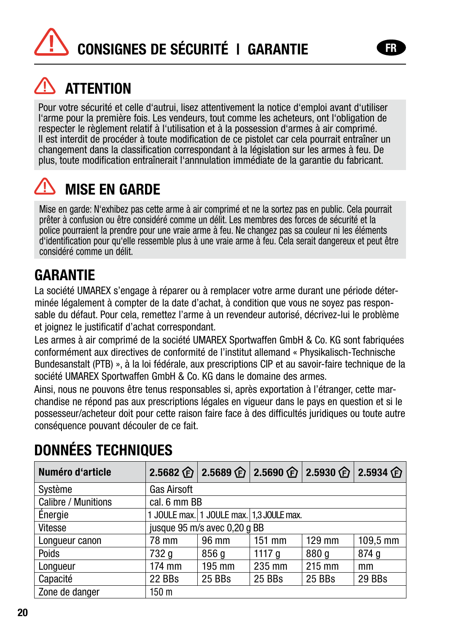# CONSIGNES DE SÉCURITÉ I GARANTIE

### **ATTENTION**

Pour votre sécurité et celle d'autrui, lisez attentivement la notice d'emploi avant d'utiliser l'arme pour la première fois. Les vendeurs, tout comme les acheteurs, ont l'obligation de respecter le règlement relatif à l'utilisation et à la possession d'armes à air comprimé. Il est interdit de procéder à toute modification de ce pistolet car cela pourrait entraîner un changement dans la classification correspondant à la législation sur les armes à feu. De plus, toute modification entraînerait l'annnulation immédiate de la garantie du fabricant.

### MISE EN GARDE

Mise en garde: N'exhibez pas cette arme à air comprimé et ne la sortez pas en public. Cela pourrait prêter à confusion ou être considéré comme un délit. Les membres des forces de sécurité et la police pourraient la prendre pour une vraie arme à feu. Ne changez pas sa couleur ni les éléments d'identification pour qu'elle ressemble plus à une vraie arme à feu. Cela serait dangereux et peut être considéré comme un délit.

#### **GARANTIF**

La société UMAREX s'engage à réparer ou à remplacer votre arme durant une période déterminée légalement à compter de la date d'achat, à condition que vous ne soyez pas responsable du défaut. Pour cela, remettez l'arme à un revendeur autorisé, décrivez-lui le problème et joignez le justificatif d'achat correspondant.

Les armes à air comprimé de la société UMAREX Sportwaffen GmbH & Co. KG sont fabriquées conformément aux directives de conformité de l'institut allemand « Physikalisch-Technische Bundesanstalt (PTB) », à la loi fédérale, aux prescriptions CIP et au savoir-faire technique de la société UMAREX Sportwaffen GmbH & Co. KG dans le domaine des armes.

Ainsi, nous ne pouvons être tenus responsables si, après exportation à l'étranger, cette marchandise ne répond pas aux prescriptions légales en vigueur dans le pays en question et si le possesseur/acheteur doit pour cette raison faire face à des difficultés juridiques ou toute autre conséquence pouvant découler de ce fait.

| Numéro d'article    |                              |                  |                                          |        | 2.5682 企 2.5689 企 2.5690 企 2.5930 企 2.5934 企 |
|---------------------|------------------------------|------------------|------------------------------------------|--------|----------------------------------------------|
| Système             | <b>Gas Airsoft</b>           |                  |                                          |        |                                              |
| Calibre / Munitions | cal. 6 mm BB                 |                  |                                          |        |                                              |
| Énergie             |                              |                  | 1 JOULE max. 1 JOULE max. 1,3 JOULE max. |        |                                              |
| Vitesse             | jusque 95 m/s avec 0,20 q BB |                  |                                          |        |                                              |
| Longueur canon      | 78 mm                        | 96 mm            | $151$ mm                                 | 129 mm | 109,5 mm                                     |
| Poids               | 732 g                        | 856 g            | 1117 $q$                                 | 880 g  | 874 g                                        |
| Longueur            | 174 mm                       | $195 \text{ mm}$ | 235 mm                                   | 215 mm | mm                                           |
| Capacité            | 22 BBs                       | 25 BBs           | 25 BBs                                   | 25 BBs | 29 BBs                                       |
| Zone de danger      | 150 m                        |                  |                                          |        |                                              |

#### DONNÉES TECHNIQUES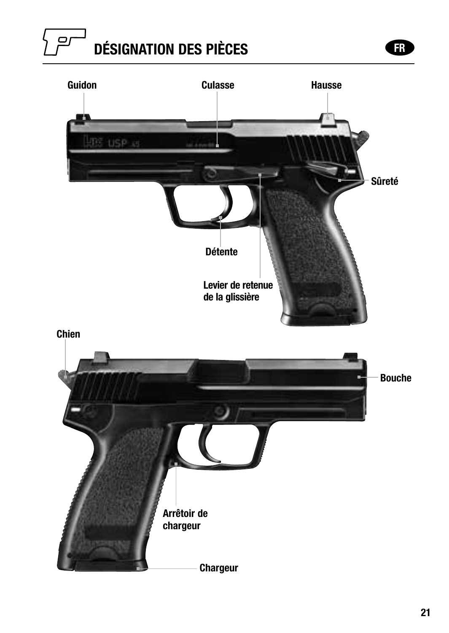#### $\mathbf{C}$ DÉSIGNATION DES PIÈCES FRANCES FRANCES

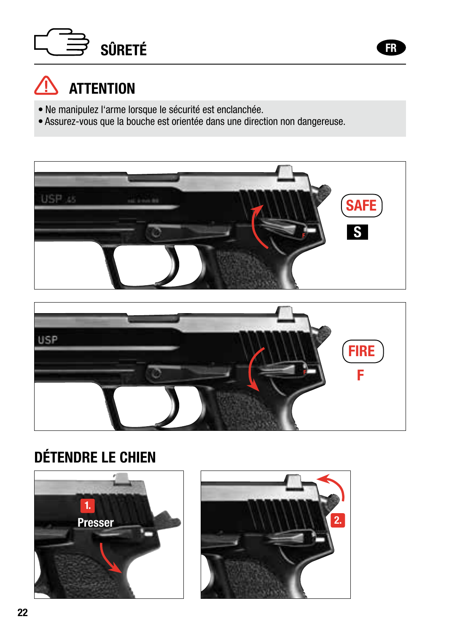# SÛRETÉ ET ATA DE LA CIENCIA EN 1999 EN 1999 ET ATA DE LA CIENCIA EN 1999 ET ATA DE LA CIENCIA EN 1999 ET ATA D



- Ne manipulez l'arme lorsque le sécurité est enclanchée.
- Assurez-vous que la bouche est orientée dans une direction non dangereuse.





#### DÉTENDRE LE CHIEN



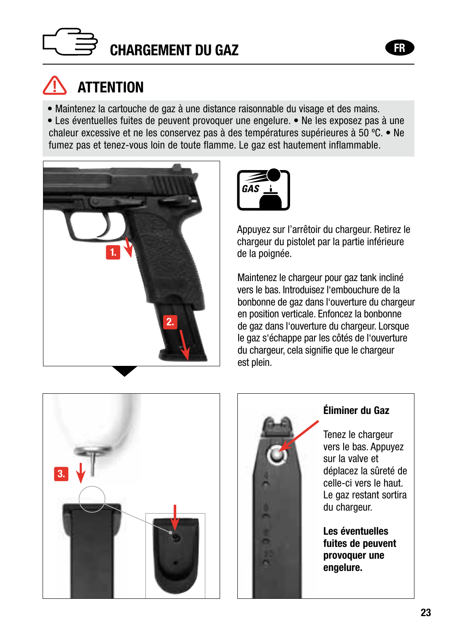

### **ATTENTION**

• Maintenez la cartouche de gaz à une distance raisonnable du visage et des mains.

• Les éventuelles fuites de peuvent provoquer une engelure. • Ne les exposez pas à une chaleur excessive et ne les conservez pas à des températures supérieures à 50 ºC. • Ne fumez pas et tenez-vous loin de toute flamme. Le gaz est hautement inflammable.





Appuyez sur l'arrêtoir du chargeur. Retirez le chargeur du pistolet par la partie inférieure de la poignée.

Maintenez le chargeur pour gaz tank incliné vers le bas. Introduisez l'embouchure de la bonbonne de gaz dans l'ouverture du chargeur en position verticale. Enfoncez la bonbonne de gaz dans l'ouverture du chargeur. Lorsque le gaz s'échappe par les côtés de l'ouverture du chargeur, cela signifie que le chargeur est plein.





#### Éliminer du Gaz

Tenez le chargeur vers le bas. Appuyez sur la valve et déplacez la sûreté de celle-ci vers le haut. Le gaz restant sortira du chargeur.

Les éventuelles fuites de peuvent provoquer une engelure.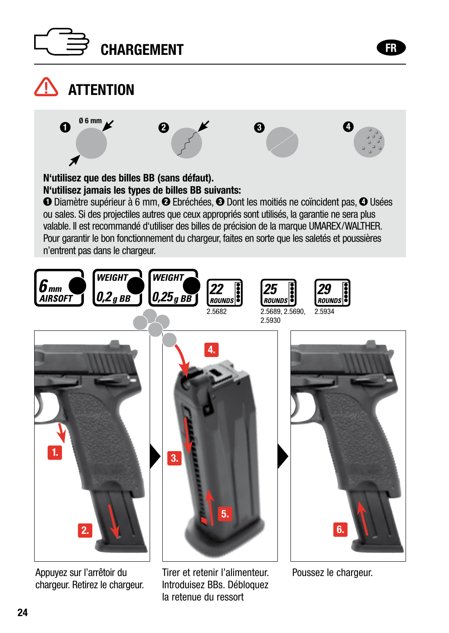



### $\bigwedge$  attention







N'utilisez que des billes BB (sans défaut). N'utilisez jamais les types de billes BB suivants:

**O** Diamètre supérieur à 6 mm, **@** Ebréchées, **@** Dont les moitiés ne coïncident pas, **@** Usées ou sales. Si des projectiles autres que ceux appropriés sont utilisés, la garantie ne sera plus valable. Il est recommandé d'utiliser des billes de précision de la marque UMAREX/WALTHER. Pour garantir le bon fonctionnement du chargeur, faites en sorte que les saletés et poussières n'entrent pas dans le chargeur.



Appuyez sur l'arrêtoir du chargeur. Retirez le chargeur.

Tirer et retenir l'alimenteur. Introduisez BBs. Débloquez la retenue du ressort

Poussez le chargeur.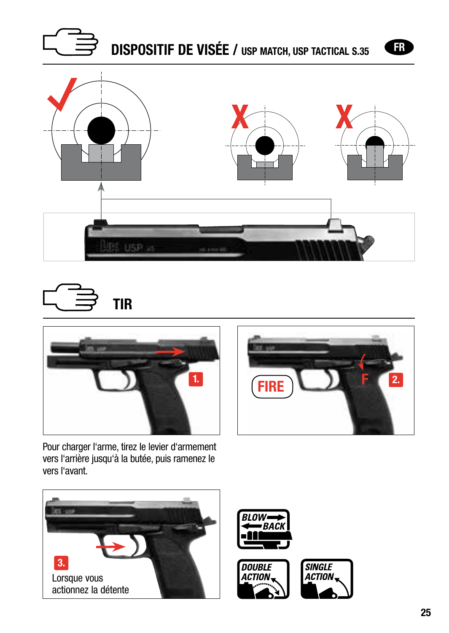







 $1.$   $F$   $F$   $R$ 

Pour charger l'arme, tirez le levier d'armement vers l'arrière jusqu'à la butée, puis ramenez le vers l'avant.







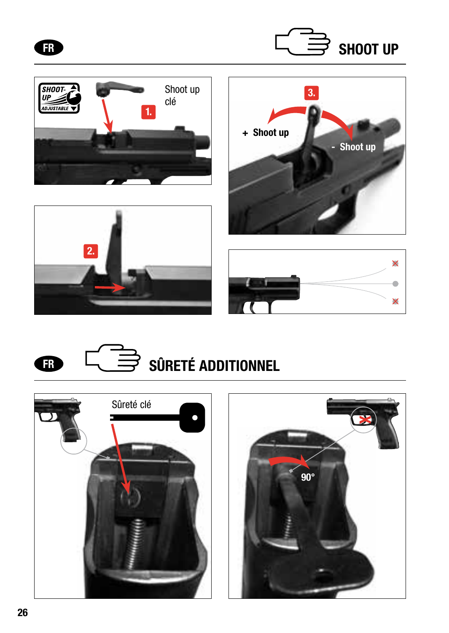















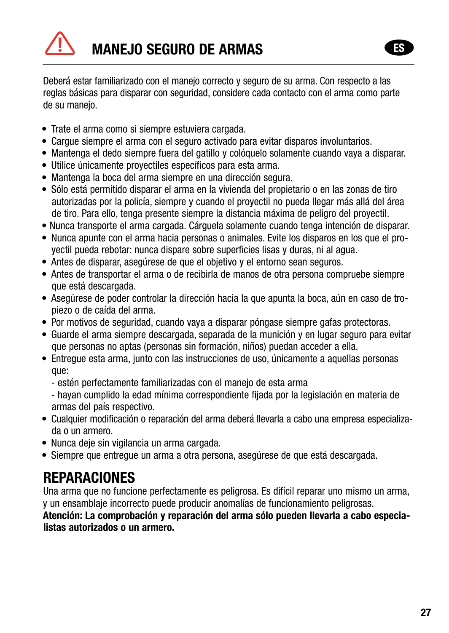# **MANEJO SEGURO DE ARMAS**

Deberá estar familiarizado con el manejo correcto y seguro de su arma. Con respecto a las reglas básicas para disparar con seguridad, considere cada contacto con el arma como parte de su manejo.

- Trate el arma como si siempre estuviera cargada.
- Cargue siempre el arma con el seguro activado para evitar disparos involuntarios.
- Mantenga el dedo siempre fuera del gatillo y colóquelo solamente cuando vaya a disparar.
- Utilice únicamente proyectiles específicos para esta arma.
- Mantenga la boca del arma siempre en una dirección segura.
- Sólo está permitido disparar el arma en la vivienda del propietario o en las zonas de tiro autorizadas por la policía, siempre y cuando el proyectil no pueda llegar más allá del área de tiro. Para ello, tenga presente siempre la distancia máxima de peligro del proyectil.
- Nunca transporte el arma cargada. Cárguela solamente cuando tenga intención de disparar.
- Nunca apunte con el arma hacia personas o animales. Evite los disparos en los que el proyectil pueda rebotar: nunca dispare sobre superficies lisas y duras, ni al agua.
- Antes de disparar, asegúrese de que el objetivo y el entorno sean seguros.
- Antes de transportar el arma o de recibirla de manos de otra persona compruebe siempre que está descargada.
- Asegúrese de poder controlar la dirección hacia la que apunta la boca, aún en caso de tropiezo o de caída del arma.
- Por motivos de seguridad, cuando vaya a disparar póngase siempre gafas protectoras.
- Guarde el arma siempre descargada, separada de la munición y en lugar seguro para evitar que personas no aptas (personas sin formación, niños) puedan acceder a ella.
- Entregue esta arma, junto con las instrucciones de uso, únicamente a aquellas personas que:
	- estén perfectamente familiarizadas con el manejo de esta arma

- hayan cumplido la edad mínima correspondiente fijada por la legislación en materia de armas del país respectivo.

- Cualquier modificación o reparación del arma deberá llevarla a cabo una empresa especializada o un armero.
- Nunca deje sin vigilancia un arma cargada.
- Siempre que entregue un arma a otra persona, asegúrese de que está descargada.

#### **REPARACIONES**

Una arma que no funcione perfectamente es peligrosa. Es difícil reparar uno mismo un arma, y un ensamblaje incorrecto puede producir anomalías de funcionamiento peligrosas.

Atención: La comprobación y reparación del arma sólo pueden llevarla a cabo especialistas autorizados o un armero.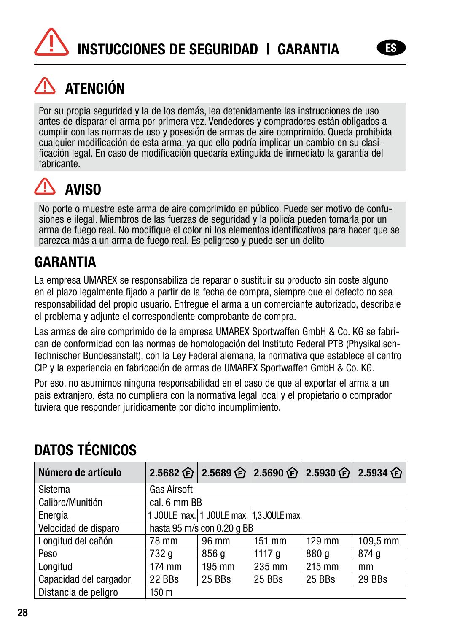

### ATENCIÓN

Por su propia seguridad y la de los demás, lea detenidamente las instrucciones de uso antes de disparar el arma por primera vez. Vendedores y compradores están obligados a cumplir con las normas de uso y posesión de armas de aire comprimido. Queda prohibida ficación legal. En caso de modificación quedaría extinguida de inmediato la garantía del fabricante.

#### Л AVISO

No porte o muestre este arma de aire comprimido en público. Puede ser motivo de confusiones e ilegal. Miembros de las fuerzas de seguridad y la policía pueden tomarla por un arma de fuego real. No modifique el color ni los elementos identificativos para hacer que se parezca más a un arma de fuego real. Es peligroso y puede ser un delito

#### GARANTIA

La empresa UMAREX se responsabiliza de reparar o sustituir su producto sin coste alguno en el plazo legalmente fijado a partir de la fecha de compra, siempre que el defecto no sea responsabilidad del propio usuario. Entregue el arma a un comerciante autorizado, descríbale el problema y adjunte el correspondiente comprobante de compra.

Las armas de aire comprimido de la empresa UMAREX Sportwaffen GmbH & Co. KG se fabrican de conformidad con las normas de homologación del Instituto Federal PTB (Physikalisch-Technischer Bundesanstalt), con la Ley Federal alemana, la normativa que establece el centro CIP y la experiencia en fabricación de armas de UMAREX Sportwaffen GmbH & Co. KG.

Por eso, no asumimos ninguna responsabilidad en el caso de que al exportar el arma a un país extranjero, ésta no cumpliera con la normativa legal local y el propietario o comprador tuviera que responder jurídicamente por dicho incumplimiento.

#### DATOS TÉCNICOS

| Número de artículo     |                            |                                          |          | 2.5682 企 2.5689 企 2.5690 企 2.5930 企 2.5934 企 |          |
|------------------------|----------------------------|------------------------------------------|----------|----------------------------------------------|----------|
| Sistema                | <b>Gas Airsoft</b>         |                                          |          |                                              |          |
| Calibre/Munitión       | cal. 6 mm BB               |                                          |          |                                              |          |
| Energía                |                            | 1 JOULE max. 1 JOULE max. 1,3 JOULE max. |          |                                              |          |
| Velocidad de disparo   | hasta 95 m/s con 0,20 g BB |                                          |          |                                              |          |
| Longitud del cañón     | 78 mm                      | 96 mm                                    | $151$ mm | 129 mm                                       | 109.5 mm |
| Peso                   | 732 g                      | 856 g                                    | 1117a    | 880 g                                        | 874q     |
| Longitud               | 174 mm                     | 195 mm                                   | 235 mm   | 215 mm                                       | mm       |
| Capacidad del cargador | 22 BBs                     | 25 BBs                                   | 25 BBs   | 25 BBs                                       | 29 BBs   |
| Distancia de peligro   | 150 m                      |                                          |          |                                              |          |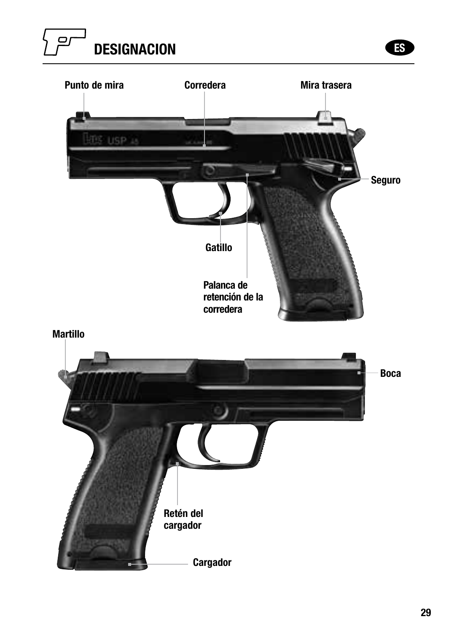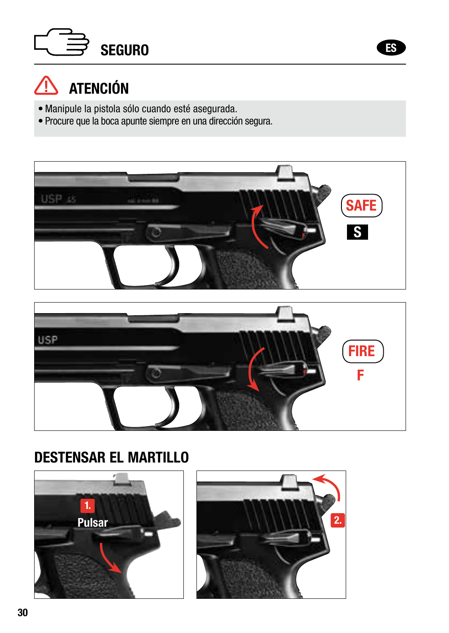# SEGURO **ESPECIAL EN ENGLAND**



### $\hat{N}$  atención

- Manipule la pistola sólo cuando esté asegurada.
- Procure que la boca apunte siempre en una dirección segura.





#### DESTENSAR EL MARTILLO



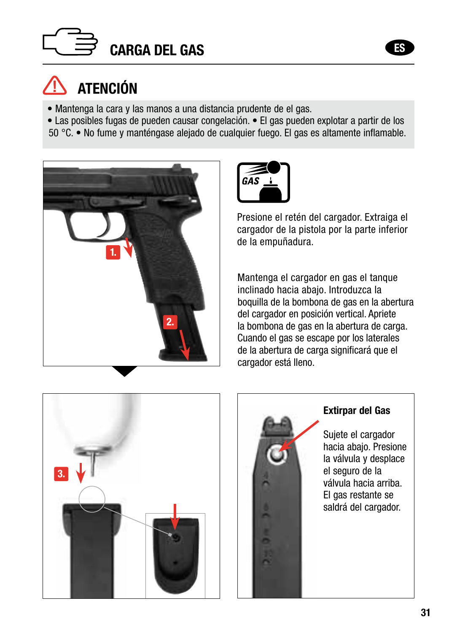

## ATENCIÓN

- Mantenga la cara y las manos a una distancia prudente de el gas.
- Las posibles fugas de pueden causar congelación. El gas pueden explotar a partir de los
- 50 °C. No fume y manténgase alejado de cualquier fuego. El gas es altamente inflamable.





Presione el retén del cargador. Extraiga el cargador de la pistola por la parte inferior de la empuñadura.

Mantenga el cargador en gas el tanque inclinado hacia abajo. Introduzca la boquilla de la bombona de gas en la abertura del cargador en posición vertical. Apriete la bombona de gas en la abertura de carga. Cuando el gas se escape por los laterales de la abertura de carga significará que el cargador está lleno.





#### Extirpar del Gas

Sujete el cargador hacia abajo. Presione la válvula y desplace el seguro de la válvula hacia arriba. El gas restante se saldrá del cargador.

ES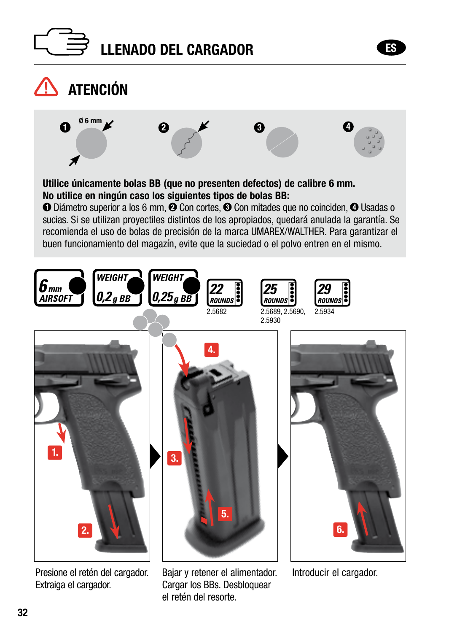





Presione el retén del cargador. Extraiga el cargador.

Bajar y retener el alimentador. Cargar los BBs. Desbloquear el retén del resorte.

Introducir el cargador.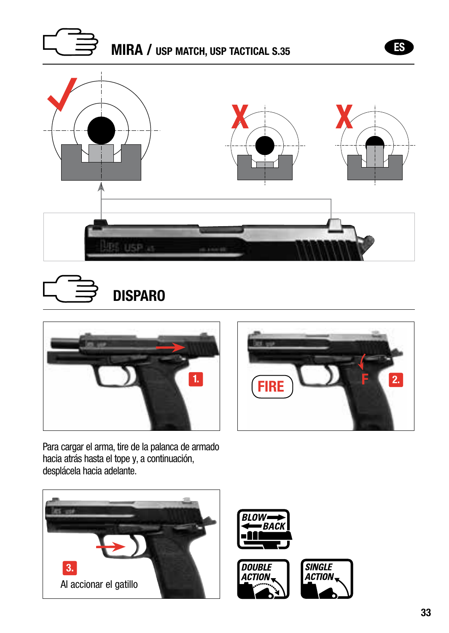







Para cargar el arma, tire de la palanca de armado hacia atrás hasta el tope y, a continuación, desplácela hacia adelante.



ES

Al accionar el gatillo 3.





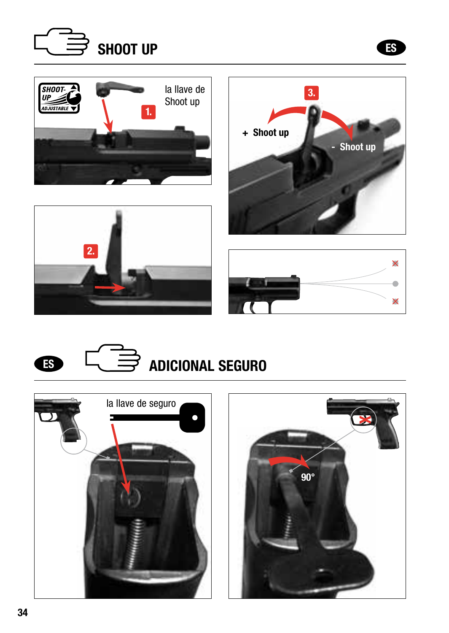







 $\overline{\mathsf{x}}$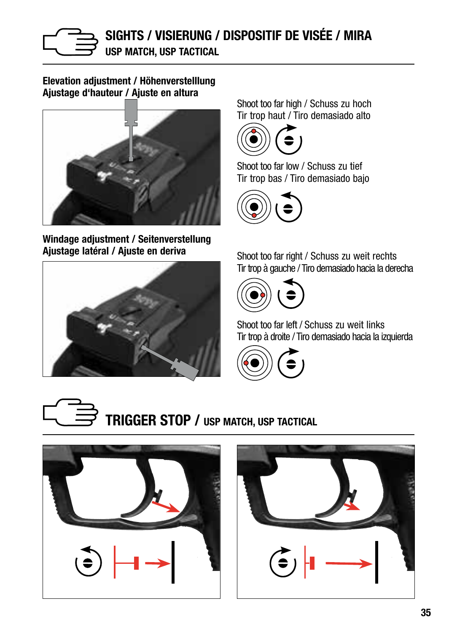

Elevation adjustment / Höhenverstelllung Ajustage d'hauteur / Ajuste en altura



Windage adjustment / Seitenverstellung Ajustage latéral / Ajuste en deriva



Shoot too far high / Schuss zu hoch Tir trop haut / Tiro demasiado alto



Shoot too far low / Schuss zu tief Tir trop bas / Tiro demasiado bajo



Shoot too far right / Schuss zu weit rechts Tir trop à gauche / Tiro demasiado hacia la derecha



Shoot too far left / Schuss zu weit links Tir trop à droite / Tiro demasiado hacia la izquierda





TRIGGER STOP / USP MATCH, USP TACTICAL